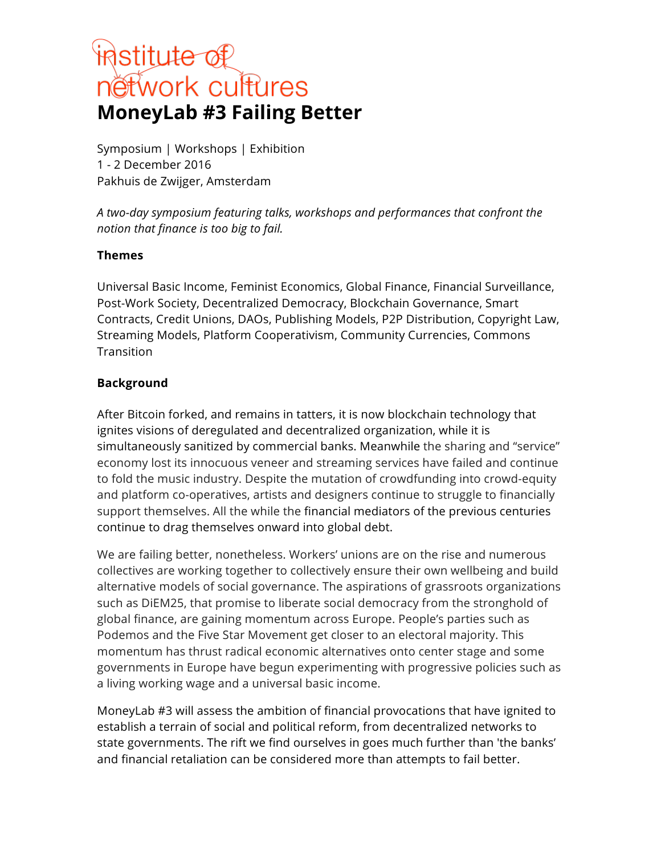# **institute of<br>nétwork cultures MoneyLab #3 Failing Better**

Symposium | Workshops | Exhibition 1 - 2 December 2016 Pakhuis de Zwijger, Amsterdam

*A two-day symposium featuring talks, workshops and performances that confront the notion that finance is too big to fail.*

### **Themes**

Universal Basic Income, Feminist Economics, Global Finance, Financial Surveillance, Post-Work Society, Decentralized Democracy, Blockchain Governance, Smart Contracts, Credit Unions, DAOs, Publishing Models, P2P Distribution, Copyright Law, Streaming Models, Platform Cooperativism, Community Currencies, Commons **Transition** 

### **Background**

After Bitcoin forked, and remains in tatters, it is now blockchain technology that ignites visions of deregulated and decentralized organization, while it is simultaneously sanitized by commercial banks. Meanwhile the sharing and "service" economy lost its innocuous veneer and streaming services have failed and continue to fold the music industry. Despite the mutation of crowdfunding into crowd-equity and platform co-operatives, artists and designers continue to struggle to financially support themselves. All the while the financial mediators of the previous centuries continue to drag themselves onward into global debt.

We are failing better, nonetheless. Workers' unions are on the rise and numerous collectives are working together to collectively ensure their own wellbeing and build alternative models of social governance. The aspirations of grassroots organizations such as DiEM25, that promise to liberate social democracy from the stronghold of global finance, are gaining momentum across Europe. People's parties such as Podemos and the Five Star Movement get closer to an electoral majority. This momentum has thrust radical economic alternatives onto center stage and some governments in Europe have begun experimenting with progressive policies such as a living working wage and a universal basic income.

MoneyLab #3 will assess the ambition of financial provocations that have ignited to establish a terrain of social and political reform, from decentralized networks to state governments. The rift we find ourselves in goes much further than 'the banks' and financial retaliation can be considered more than attempts to fail better.